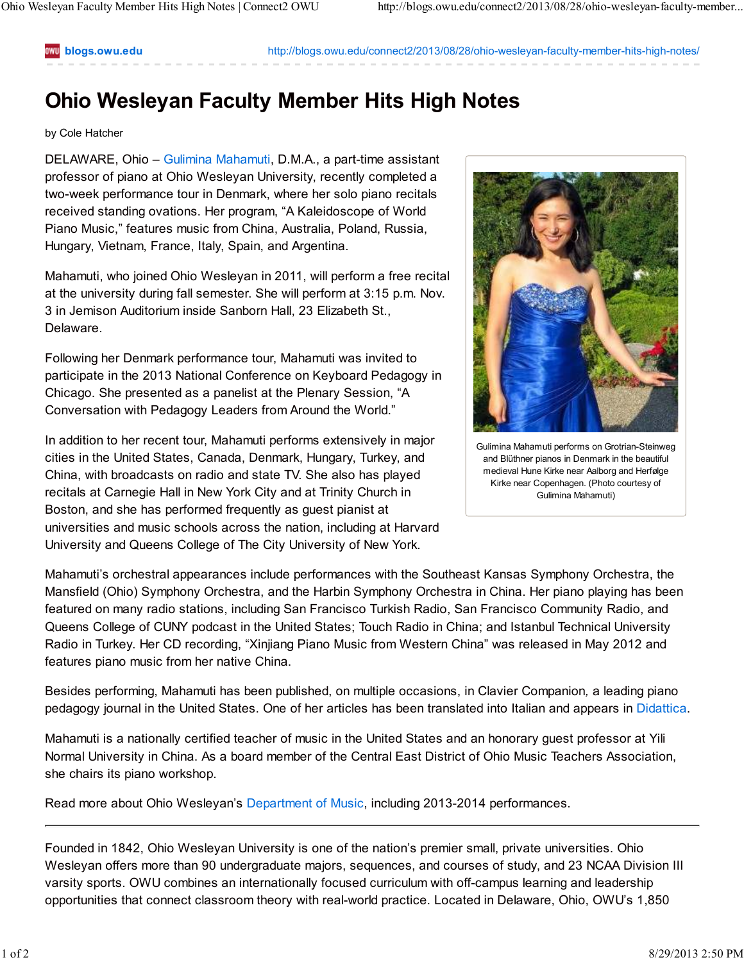**blogs.owu.edu** http://blogs.owu.edu/connect2/2013/08/28/ohio-wesleyan-faculty-member-hits-high-notes/

## **Ohio Wesleyan Faculty Member Hits High Notes**

## by Cole Hatcher

DELAWARE, Ohio – Gulimina Mahamuti, D.M.A., a part-time assistant professor of piano at Ohio Wesleyan University, recently completed a two-week performance tour in Denmark, where her solo piano recitals received standing ovations. Her program, "A Kaleidoscope of World Piano Music," features music from China, Australia, Poland, Russia, Hungary, Vietnam, France, Italy, Spain, and Argentina.

Mahamuti, who joined Ohio Wesleyan in 2011, will perform a free recital at the university during fall semester. She will perform at 3:15 p.m. Nov. 3 in Jemison Auditorium inside Sanborn Hall, 23 Elizabeth St., Delaware.

Following her Denmark performance tour, Mahamuti was invited to participate in the 2013 National Conference on Keyboard Pedagogy in Chicago. She presented as a panelist at the Plenary Session, "A Conversation with Pedagogy Leaders from Around the World."

In addition to her recent tour, Mahamuti performs extensively in major cities in the United States, Canada, Denmark, Hungary, Turkey, and China, with broadcasts on radio and state TV. She also has played recitals at Carnegie Hall in New York City and at Trinity Church in Boston, and she has performed frequently as guest pianist at universities and music schools across the nation, including at Harvard University and Queens College of The City University of New York.



Gulimina Mahamuti performs on Grotrian-Steinweg and Blüthner pianos in Denmark in the beautiful medieval Hune Kirke near Aalborg and Herfølge Kirke near Copenhagen. (Photo courtesy of Gulimina Mahamuti)

Mahamuti's orchestral appearances include performances with the Southeast Kansas Symphony Orchestra, the Mansfield (Ohio) Symphony Orchestra, and the Harbin Symphony Orchestra in China. Her piano playing has been featured on many radio stations, including San Francisco Turkish Radio, San Francisco Community Radio, and Queens College of CUNY podcast in the United States; Touch Radio in China; and Istanbul Technical University Radio in Turkey. Her CD recording, "Xinjiang Piano Music from Western China" was released in May 2012 and features piano music from her native China.

Besides performing, Mahamuti has been published, on multiple occasions, in Clavier Companion*,* a leading piano pedagogy journal in the United States. One of her articles has been translated into Italian and appears in Didattica.

Mahamuti is a nationally certified teacher of music in the United States and an honorary guest professor at Yili Normal University in China. As a board member of the Central East District of Ohio Music Teachers Association, she chairs its piano workshop.

Read more about Ohio Wesleyan's Department of Music, including 2013-2014 performances.

Founded in 1842, Ohio Wesleyan University is one of the nation's premier small, private universities. Ohio Wesleyan offers more than 90 undergraduate majors, sequences, and courses of study, and 23 NCAA Division III varsity sports. OWU combines an internationally focused curriculum with off-campus learning and leadership opportunities that connect classroom theory with real-world practice. Located in Delaware, Ohio, OWU's 1,850